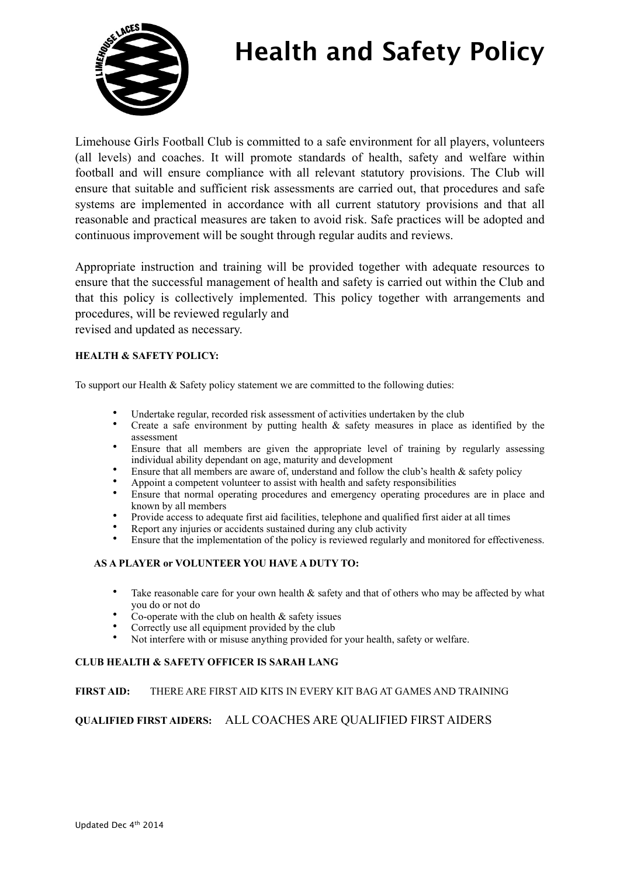

Limehouse Girls Football Club is committed to a safe environment for all players, volunteers (all levels) and coaches. It will promote standards of health, safety and welfare within football and will ensure compliance with all relevant statutory provisions. The Club will ensure that suitable and sufficient risk assessments are carried out, that procedures and safe systems are implemented in accordance with all current statutory provisions and that all reasonable and practical measures are taken to avoid risk. Safe practices will be adopted and continuous improvement will be sought through regular audits and reviews.

Appropriate instruction and training will be provided together with adequate resources to ensure that the successful management of health and safety is carried out within the Club and that this policy is collectively implemented. This policy together with arrangements and procedures, will be reviewed regularly and

revised and updated as necessary.

#### **HEALTH & SAFETY POLICY:**

To support our Health & Safety policy statement we are committed to the following duties:

- Undertake regular, recorded risk assessment of activities undertaken by the club
- Create a safe environment by putting health  $\&$  safety measures in place as identified by the assessment
- Ensure that all members are given the appropriate level of training by regularly assessing individual ability dependant on age, maturity and development
- Ensure that all members are aware of, understand and follow the club's health  $\&$  safety policy
- Appoint a competent volunteer to assist with health and safety responsibilities
- Ensure that normal operating procedures and emergency operating procedures are in place and known by all members
- Provide access to adequate first aid facilities, telephone and qualified first aider at all times
- Report any injuries or accidents sustained during any club activity
- Ensure that the implementation of the policy is reviewed regularly and monitored for effectiveness.

#### **AS A PLAYER or VOLUNTEER YOU HAVE A DUTY TO:**

- Take reasonable care for your own health & safety and that of others who may be affected by what you do or not do
- Co-operate with the club on health  $\&$  safety issues
- Correctly use all equipment provided by the club
- Not interfere with or misuse anything provided for your health, safety or welfare.

#### **CLUB HEALTH & SAFETY OFFICER IS SARAH LANG**

#### **FIRST AID:** THERE ARE FIRST AID KITS IN EVERY KIT BAG AT GAMES AND TRAINING

### **QUALIFIED FIRST AIDERS:** ALL COACHES ARE QUALIFIED FIRST AIDERS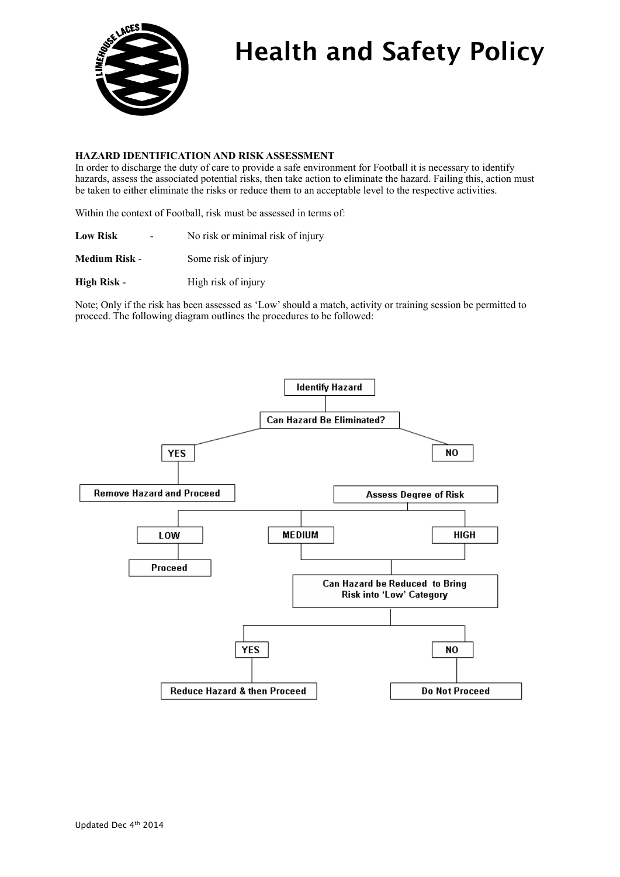

#### **HAZARD IDENTIFICATION AND RISK ASSESSMENT**

In order to discharge the duty of care to provide a safe environment for Football it is necessary to identify hazards, assess the associated potential risks, then take action to eliminate the hazard. Failing this, action must be taken to either eliminate the risks or reduce them to an acceptable level to the respective activities.

Within the context of Football, risk must be assessed in terms of:

| <b>Low Risk</b> | No risk or minimal risk of injury |  |  |
|-----------------|-----------------------------------|--|--|
|-----------------|-----------------------------------|--|--|

**Medium Risk -** Some risk of injury

**High Risk** - High risk of injury

Note; Only if the risk has been assessed as 'Low' should a match, activity or training session be permitted to proceed. The following diagram outlines the procedures to be followed:

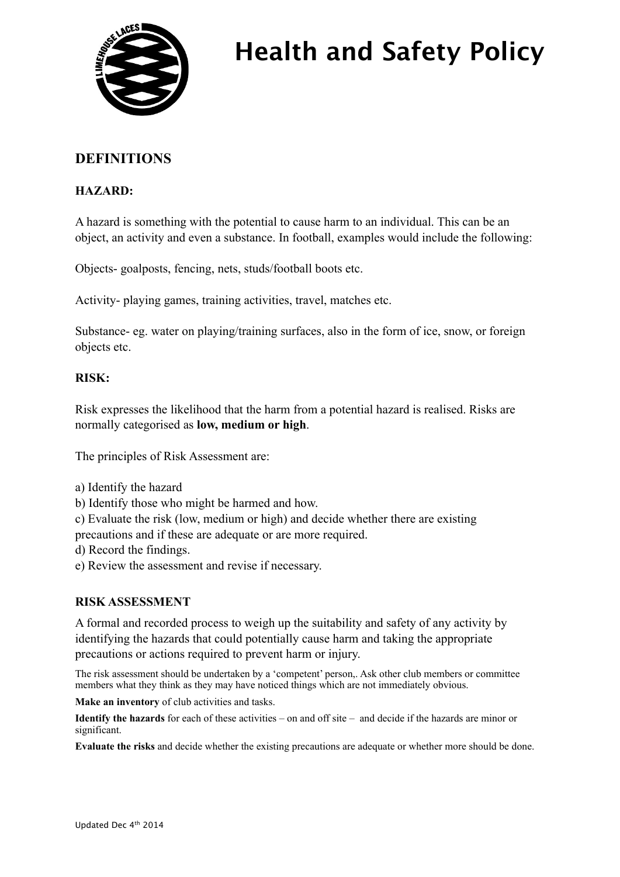

## **DEFINITIONS**

### **HAZARD:**

A hazard is something with the potential to cause harm to an individual. This can be an object, an activity and even a substance. In football, examples would include the following:

Objects- goalposts, fencing, nets, studs/football boots etc.

Activity- playing games, training activities, travel, matches etc.

Substance- eg. water on playing/training surfaces, also in the form of ice, snow, or foreign objects etc.

### **RISK:**

Risk expresses the likelihood that the harm from a potential hazard is realised. Risks are normally categorised as **low, medium or high**.

The principles of Risk Assessment are:

- a) Identify the hazard
- b) Identify those who might be harmed and how.
- c) Evaluate the risk (low, medium or high) and decide whether there are existing

precautions and if these are adequate or are more required.

- d) Record the findings.
- e) Review the assessment and revise if necessary.

### **RISK ASSESSMENT**

A formal and recorded process to weigh up the suitability and safety of any activity by identifying the hazards that could potentially cause harm and taking the appropriate precautions or actions required to prevent harm or injury.

The risk assessment should be undertaken by a 'competent' person,. Ask other club members or committee members what they think as they may have noticed things which are not immediately obvious.

**Make an inventory** of club activities and tasks.

**Identify the hazards** for each of these activities – on and off site – and decide if the hazards are minor or significant.

**Evaluate the risks** and decide whether the existing precautions are adequate or whether more should be done.